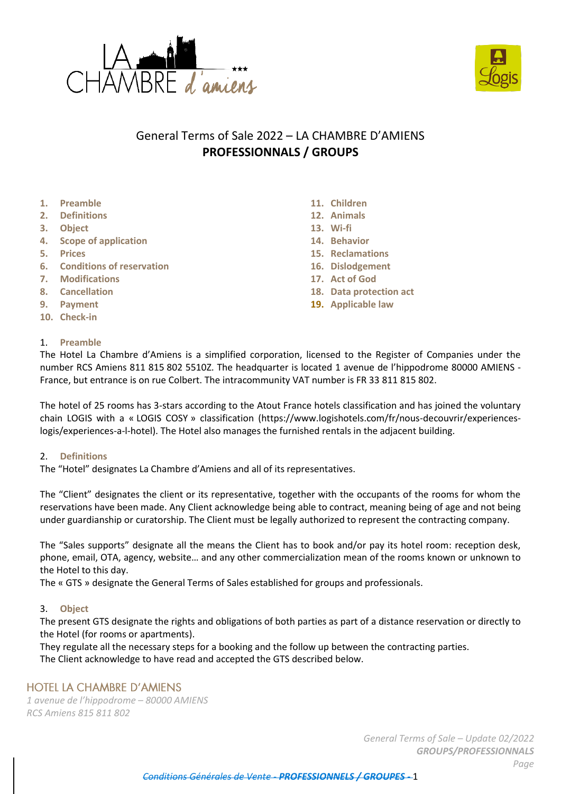

- **2. Definitions**
- **3. Object**
- **4. Scope of application**
- **5. Prices**
- **6. Conditions of reservation**
- **7. Modifications**
- **8. Cancellation**
- **9. Payment**
- **10. Check-in**

# 1. **Preamble**

- **11. Children**
- **12. Animals**
- **13. Wi-fi**
- **14. Behavior**
- **15. Reclamations**
- **16. Dislodgement**
- **17. Act of God**
- **18. Data protection act**
- **19. Applicable law**

The Hotel La Chambre d'Amiens is a simplified corporation, licensed to the Register of Companies under the number RCS Amiens 811 815 802 5510Z. The headquarter is located 1 avenue de l'hippodrome 80000 AMIENS - France, but entrance is on rue Colbert. The intracommunity VAT number is FR 33 811 815 802.

General Terms of Sale 2022 – LA CHAMBRE D'AMIENS **PROFESSIONNALS / GROUPS**

The hotel of 25 rooms has 3-stars according to the Atout France hotels classification and has joined the voluntary chain LOGIS with a « LOGIS COSY » classification (https://www.logishotels.com/fr/nous-decouvrir/experienceslogis/experiences-a-l-hotel). The Hotel also manages the furnished rentals in the adjacent building.

#### 2. **Definitions**

The "Hotel" designates La Chambre d'Amiens and all of its representatives.

The "Client" designates the client or its representative, together with the occupants of the rooms for whom the reservations have been made. Any Client acknowledge being able to contract, meaning being of age and not being under guardianship or curatorship. The Client must be legally authorized to represent the contracting company.

The "Sales supports" designate all the means the Client has to book and/or pay its hotel room: reception desk, phone, email, OTA, agency, website… and any other commercialization mean of the rooms known or unknown to the Hotel to this day.

The « GTS » designate the General Terms of Sales established for groups and professionals.

# 3. **Object**

The present GTS designate the rights and obligations of both parties as part of a distance reservation or directly to the Hotel (for rooms or apartments).

They regulate all the necessary steps for a booking and the follow up between the contracting parties. The Client acknowledge to have read and accepted the GTS described below.

# **HOTEL LA CHAMBRE D'AMIENS**

*1 avenue de l'hippodrome – 80000 AMIENS RCS Amiens 815 811 802*

> *General Terms of Sale – Update 02/2022 GROUPS/PROFESSIONNALS Page*



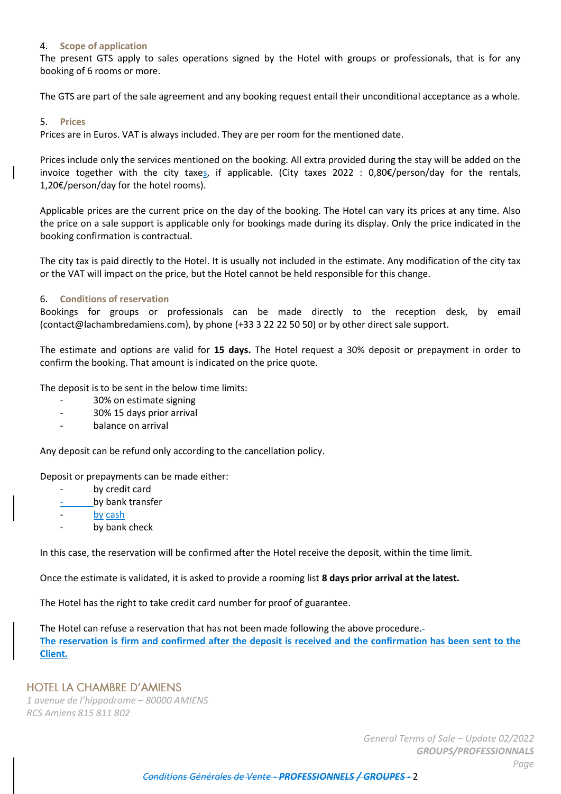### 4. **Scope of application**

The present GTS apply to sales operations signed by the Hotel with groups or professionals, that is for any booking of 6 rooms or more.

The GTS are part of the sale agreement and any booking request entail their unconditional acceptance as a whole.

#### 5. **Prices**

Prices are in Euros. VAT is always included. They are per room for the mentioned date.

Prices include only the services mentioned on the booking. All extra provided during the stay will be added on the invoice together with the city taxes, if applicable. (City taxes 2022 : 0,80€/person/day for the rentals, 1,20€/person/day for the hotel rooms).

Applicable prices are the current price on the day of the booking. The Hotel can vary its prices at any time. Also the price on a sale support is applicable only for bookings made during its display. Only the price indicated in the booking confirmation is contractual.

The city tax is paid directly to the Hotel. It is usually not included in the estimate. Any modification of the city tax or the VAT will impact on the price, but the Hotel cannot be held responsible for this change.

### 6. **Conditions of reservation**

Bookings for groups or professionals can be made directly to the reception desk, by email (contact@lachambredamiens.com), by phone (+33 3 22 22 50 50) or by other direct sale support.

The estimate and options are valid for **15 days.** The Hotel request a 30% deposit or prepayment in order to confirm the booking. That amount is indicated on the price quote.

The deposit is to be sent in the below time limits:

- 30% on estimate signing
- 30% 15 days prior arrival
- balance on arrival

Any deposit can be refund only according to the cancellation policy.

Deposit or prepayments can be made either:

- by credit card
- by bank transfer
- by cash
- by bank check

In this case, the reservation will be confirmed after the Hotel receive the deposit, within the time limit.

Once the estimate is validated, it is asked to provide a rooming list **8 days prior arrival at the latest.**

The Hotel has the right to take credit card number for proof of guarantee.

The Hotel can refuse a reservation that has not been made following the above procedure. **The reservation is firm and confirmed after the deposit is received and the confirmation has been sent to the Client.**

# **HOTEL LA CHAMBRE D'AMIENS**

*1 avenue de l'hippodrome – 80000 AMIENS RCS Amiens 815 811 802*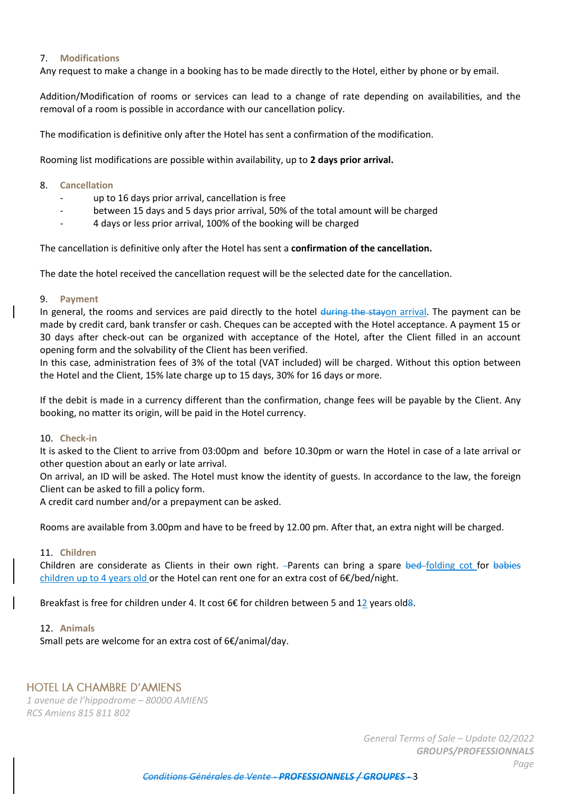### 7. **Modifications**

Any request to make a change in a booking has to be made directly to the Hotel, either by phone or by email.

Addition/Modification of rooms or services can lead to a change of rate depending on availabilities, and the removal of a room is possible in accordance with our cancellation policy.

The modification is definitive only after the Hotel has sent a confirmation of the modification.

Rooming list modifications are possible within availability, up to **2 days prior arrival.**

#### 8. **Cancellation**

- up to 16 days prior arrival, cancellation is free
- between 15 days and 5 days prior arrival, 50% of the total amount will be charged
- 4 days or less prior arrival, 100% of the booking will be charged

The cancellation is definitive only after the Hotel has sent a **confirmation of the cancellation.**

The date the hotel received the cancellation request will be the selected date for the cancellation.

### 9. **Payment**

In general, the rooms and services are paid directly to the hotel during the stayon arrival. The payment can be made by credit card, bank transfer or cash. Cheques can be accepted with the Hotel acceptance. A payment 15 or 30 days after check-out can be organized with acceptance of the Hotel, after the Client filled in an account opening form and the solvability of the Client has been verified.

In this case, administration fees of 3% of the total (VAT included) will be charged. Without this option between the Hotel and the Client, 15% late charge up to 15 days, 30% for 16 days or more.

If the debit is made in a currency different than the confirmation, change fees will be payable by the Client. Any booking, no matter its origin, will be paid in the Hotel currency.

#### 10. **Check-in**

It is asked to the Client to arrive from 03:00pm and before 10.30pm or warn the Hotel in case of a late arrival or other question about an early or late arrival.

On arrival, an ID will be asked. The Hotel must know the identity of guests. In accordance to the law, the foreign Client can be asked to fill a policy form.

A credit card number and/or a prepayment can be asked.

Rooms are available from 3.00pm and have to be freed by 12.00 pm. After that, an extra night will be charged.

#### 11. **Children**

Children are considerate as Clients in their own right. -Parents can bring a spare bed folding cot for babies children up to 4 years old or the Hotel can rent one for an extra cost of 6€/bed/night.

Breakfast is free for children under 4. It cost 6€ for children between 5 and 12 years old8.

#### 12. **Animals**

Small pets are welcome for an extra cost of 6€/animal/day.

# **HOTEL LA CHAMBRE D'AMIENS**

*1 avenue de l'hippodrome – 80000 AMIENS RCS Amiens 815 811 802*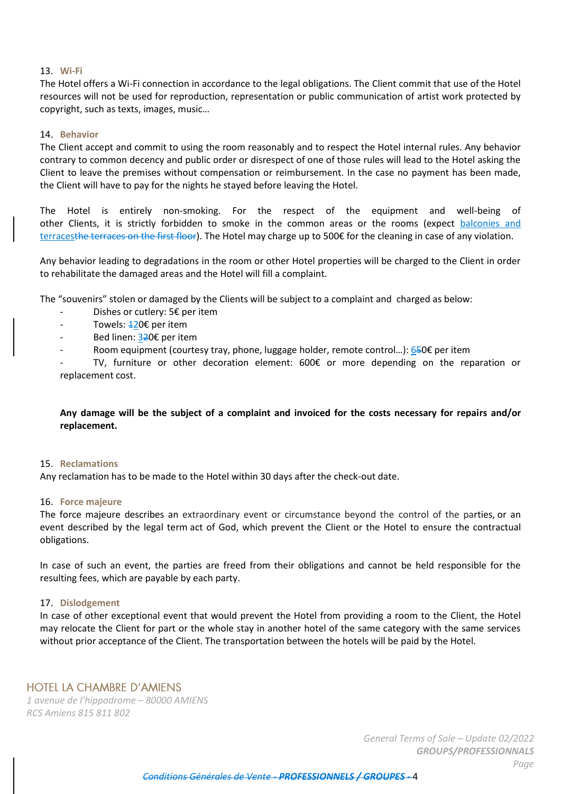### 13. **Wi-Fi**

The Hotel offers a Wi-Fi connection in accordance to the legal obligations. The Client commit that use of the Hotel resources will not be used for reproduction, representation or public communication of artist work protected by copyright, such as texts, images, music…

# 14. **Behavior**

The Client accept and commit to using the room reasonably and to respect the Hotel internal rules. Any behavior contrary to common decency and public order or disrespect of one of those rules will lead to the Hotel asking the Client to leave the premises without compensation or reimbursement. In the case no payment has been made, the Client will have to pay for the nights he stayed before leaving the Hotel.

The Hotel is entirely non-smoking. For the respect of the equipment and well-being of other Clients, it is strictly forbidden to smoke in the common areas or the rooms (expect balconies and terracesthe terraces on the first floor). The Hotel may charge up to 500€ for the cleaning in case of any violation.

Any behavior leading to degradations in the room or other Hotel properties will be charged to the Client in order to rehabilitate the damaged areas and the Hotel will fill a complaint.

The "souvenirs" stolen or damaged by the Clients will be subject to a complaint and charged as below:

- Dishes or cutlery: 5€ per item
- Towels:  $±20€$  per item
- Bed linen: 320€ per item
- Room equipment (courtesy tray, phone, luggage holder, remote control...): 650€ per item

TV, furniture or other decoration element:  $600 $\epsilon$  or more depending on the reparation or$ replacement cost.

# **Any damage will be the subject of a complaint and invoiced for the costs necessary for repairs and/or replacement.**

#### 15. **Reclamations**

Any reclamation has to be made to the Hotel within 30 days after the check-out date.

#### 16. **Force majeure**

The force majeure describes an extraordinary event or circumstance beyond the control of the parties, or an event described by the legal term [act of God,](https://en.wikipedia.org/wiki/Act_of_God) which prevent the Client or the Hotel to ensure the contractual obligations.

In case of such an event, the parties are freed from their obligations and cannot be held responsible for the resulting fees, which are payable by each party.

# 17. **Dislodgement**

In case of other exceptional event that would prevent the Hotel from providing a room to the Client, the Hotel may relocate the Client for part or the whole stay in another hotel of the same category with the same services without prior acceptance of the Client. The transportation between the hotels will be paid by the Hotel.

# **HOTEL LA CHAMBRE D'AMIENS**

*1 avenue de l'hippodrome – 80000 AMIENS RCS Amiens 815 811 802*

> *General Terms of Sale – Update 02/2022 GROUPS/PROFESSIONNALS Page*